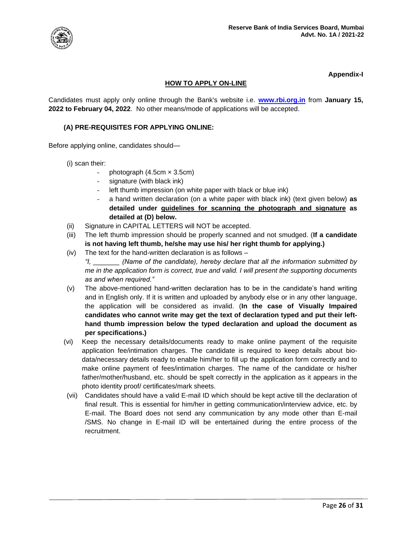

# **Appendix-I**

# **HOW TO APPLY ON-LINE**

Candidates must apply only online through the Bank's website i.e. **[www.rbi.org.in](https://www.rbi.org.in/)** from **January 15, 2022 to February 04, 2022**. No other means/mode of applications will be accepted.

### **(A) PRE-REQUISITES FOR APPLYING ONLINE:**

Before applying online, candidates should—

(i) scan their:

- photograph  $(4.5cm \times 3.5cm)$
- signature (with black ink)
- left thumb impression (on white paper with black or blue ink)
- a hand written declaration (on a white paper with black ink) (text given below) **as detailed under guidelines for scanning the photograph and signature as detailed at (D) below.**
- (ii) Signature in CAPITAL LETTERS will NOT be accepted.
- (iii) The left thumb impression should be properly scanned and not smudged. (**If a candidate is not having left thumb, he/she may use his/ her right thumb for applying.)**
- (iv) The text for the hand-written declaration is as follows –

*"I, \_\_\_\_\_\_\_ (Name of the candidate), hereby declare that all the information submitted by me in the application form is correct, true and valid. I will present the supporting documents as and when required."* 

- (v) The above-mentioned hand-written declaration has to be in the candidate's hand writing and in English only. If it is written and uploaded by anybody else or in any other language, the application will be considered as invalid. (**In the case of Visually Impaired candidates who cannot write may get the text of declaration typed and put their lefthand thumb impression below the typed declaration and upload the document as per specifications.)**
- (vi) Keep the necessary details/documents ready to make online payment of the requisite application fee/intimation charges. The candidate is required to keep details about biodata/necessary details ready to enable him/her to fill up the application form correctly and to make online payment of fees/intimation charges. The name of the candidate or his/her father/mother/husband, etc. should be spelt correctly in the application as it appears in the photo identity proof/ certificates/mark sheets.
- (vii) Candidates should have a valid E-mail ID which should be kept active till the declaration of final result. This is essential for him/her in getting communication/interview advice, etc. by E-mail. The Board does not send any communication by any mode other than E-mail /SMS. No change in E-mail ID will be entertained during the entire process of the recruitment.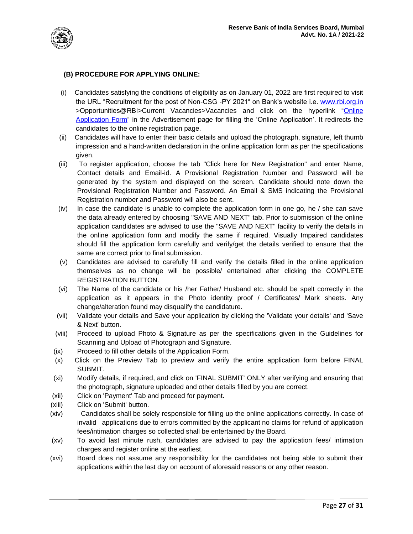

### **(B) PROCEDURE FOR APPLYING ONLINE:**

- (i) Candidates satisfying the conditions of eligibility as on January 01, 2022 are first required to visit the URL "Recruitment for the post of Non-CSG -PY 2021" on Bank's website i.e. [www.rbi.org.in](https://www.rbi.org.in/) >Opportunities@RBI>Current Vacancies>Vacancies and click on the hyperlink ["Online](https://ibpsonline.ibps.in/rbidec21/)  [Application Form"](https://ibpsonline.ibps.in/rbidec21/) in the Advertisement page for filling the 'Online Application'. It redirects the candidates to the online registration page.
- (ii) Candidates will have to enter their basic details and upload the photograph, signature, left thumb impression and a hand-written declaration in the online application form as per the specifications given.
- (iii) To register application, choose the tab "Click here for New Registration" and enter Name, Contact details and Email-id. A Provisional Registration Number and Password will be generated by the system and displayed on the screen. Candidate should note down the Provisional Registration Number and Password. An Email & SMS indicating the Provisional Registration number and Password will also be sent.
- $(iv)$  In case the candidate is unable to complete the application form in one go, he / she can save the data already entered by choosing "SAVE AND NEXT" tab. Prior to submission of the online application candidates are advised to use the "SAVE AND NEXT" facility to verify the details in the online application form and modify the same if required. Visually Impaired candidates should fill the application form carefully and verify/get the details verified to ensure that the same are correct prior to final submission.
- (v) Candidates are advised to carefully fill and verify the details filled in the online application themselves as no change will be possible/ entertained after clicking the COMPLETE REGISTRATION BUTTON.
- (vi) The Name of the candidate or his /her Father/ Husband etc. should be spelt correctly in the application as it appears in the Photo identity proof / Certificates/ Mark sheets. Any change/alteration found may disqualify the candidature.
- (vii) Validate your details and Save your application by clicking the 'Validate your details' and 'Save & Next' button.
- (viii) Proceed to upload Photo & Signature as per the specifications given in the Guidelines for Scanning and Upload of Photograph and Signature.
- (ix) Proceed to fill other details of the Application Form.
- (x) Click on the Preview Tab to preview and verify the entire application form before FINAL SUBMIT.
- (xi) Modify details, if required, and click on 'FINAL SUBMIT' ONLY after verifying and ensuring that the photograph, signature uploaded and other details filled by you are correct.
- (xii) Click on 'Payment' Tab and proceed for payment.
- (xiii) Click on 'Submit' button.
- (xiv) Candidates shall be solely responsible for filling up the online applications correctly. In case of invalid applications due to errors committed by the applicant no claims for refund of application fees/intimation charges so collected shall be entertained by the Board.
- (xv) To avoid last minute rush, candidates are advised to pay the application fees/ intimation charges and register online at the earliest.
- (xvi) Board does not assume any responsibility for the candidates not being able to submit their applications within the last day on account of aforesaid reasons or any other reason.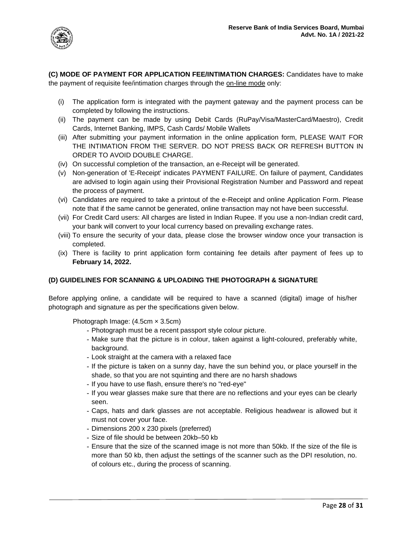

**(C) MODE OF PAYMENT FOR APPLICATION FEE/INTIMATION CHARGES:** Candidates have to make the payment of requisite fee/intimation charges through the on-line mode only:

- (i) The application form is integrated with the payment gateway and the payment process can be completed by following the instructions.
- (ii) The payment can be made by using Debit Cards (RuPay/Visa/MasterCard/Maestro), Credit Cards, Internet Banking, IMPS, Cash Cards/ Mobile Wallets
- (iii) After submitting your payment information in the online application form, PLEASE WAIT FOR THE INTIMATION FROM THE SERVER. DO NOT PRESS BACK OR REFRESH BUTTON IN ORDER TO AVOID DOUBLE CHARGE.
- (iv) On successful completion of the transaction, an e-Receipt will be generated.
- (v) Non-generation of 'E-Receipt' indicates PAYMENT FAILURE. On failure of payment, Candidates are advised to login again using their Provisional Registration Number and Password and repeat the process of payment.
- (vi) Candidates are required to take a printout of the e-Receipt and online Application Form. Please note that if the same cannot be generated, online transaction may not have been successful.
- (vii) For Credit Card users: All charges are listed in Indian Rupee. If you use a non-Indian credit card, your bank will convert to your local currency based on prevailing exchange rates.
- (viii) To ensure the security of your data, please close the browser window once your transaction is completed.
- (ix) There is facility to print application form containing fee details after payment of fees up to **February 14, 2022.**

# **(D) GUIDELINES FOR SCANNING & UPLOADING THE PHOTOGRAPH & SIGNATURE**

Before applying online, a candidate will be required to have a scanned (digital) image of his/her photograph and signature as per the specifications given below.

Photograph Image: (4.5cm × 3.5cm)

- **-** Photograph must be a recent passport style colour picture.
- **-** Make sure that the picture is in colour, taken against a light-coloured, preferably white, background.
- **-** Look straight at the camera with a relaxed face
- **-** If the picture is taken on a sunny day, have the sun behind you, or place yourself in the shade, so that you are not squinting and there are no harsh shadows
- **-** If you have to use flash, ensure there's no "red-eye"
- **-** If you wear glasses make sure that there are no reflections and your eyes can be clearly seen.
- **-** Caps, hats and dark glasses are not acceptable. Religious headwear is allowed but it must not cover your face.
- **-** Dimensions 200 x 230 pixels (preferred)
- **-** Size of file should be between 20kb–50 kb
- **-** Ensure that the size of the scanned image is not more than 50kb. If the size of the file is more than 50 kb, then adjust the settings of the scanner such as the DPI resolution, no. of colours etc., during the process of scanning.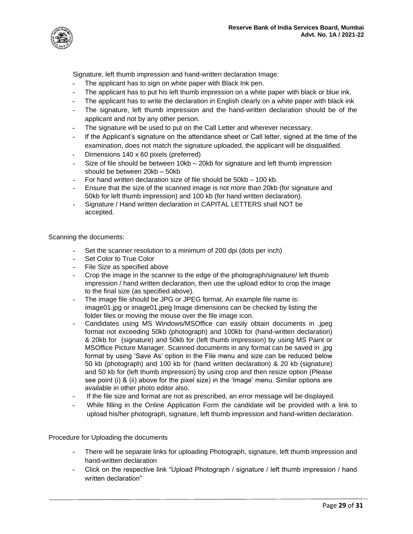

Signature, left thumb impression and hand-written declaration Image:

- **-** The applicant has to sign on white paper with Black Ink pen.
- **-** The applicant has to put his left thumb impression on a white paper with black or blue ink.
- **-** The applicant has to write the declaration in English clearly on a white paper with black ink
- **-** The signature, left thumb impression and the hand-written declaration should be of the applicant and not by any other person.
- **-** The signature will be used to put on the Call Letter and wherever necessary.
- **-** If the Applicant's signature on the attendance sheet or Call letter, signed at the time of the examination, does not match the signature uploaded, the applicant will be disqualified.
- **-** Dimensions 140 x 60 pixels (preferred)
- **-** Size of file should be between 10kb 20kb for signature and left thumb impression should be between 20kb – 50kb
- **-** For hand written declaration size of file should be 50kb 100 kb.
- **-** Ensure that the size of the scanned image is not more than 20kb (for signature and 50kb for left thumb impression) and 100 kb (for hand written declaration).
- **-** Signature / Hand written declaration in CAPITAL LETTERS shall NOT be accepted.

Scanning the documents:

- **-** Set the scanner resolution to a minimum of 200 dpi (dots per inch)
- **-** Set Color to True Color
- **-** File Size as specified above
- **-** Crop the image in the scanner to the edge of the photograph/signature/ left thumb impression / hand written declaration, then use the upload editor to crop the image to the final size (as specified above).
- **-** The image file should be JPG or JPEG format. An example file name is: image01.jpg or image01.jpeg Image dimensions can be checked by listing the folder files or moving the mouse over the file image icon.
- **-** Candidates using MS Windows/MSOffice can easily obtain documents in .jpeg format not exceeding 50kb (photograph) and 100kb for (hand-written declaration) & 20kb for (signature) and 50kb for (left thumb impression) by using MS Paint or MSOffice Picture Manager. Scanned documents in any format can be saved in .jpg format by using 'Save As' option in the File menu and size can be reduced below 50 kb (photograph) and 100 kb for (hand written declaration) & 20 kb (signature) and 50 kb for (left thumb impression) by using crop and then resize option (Please see point (i) & (ii) above for the pixel size) in the 'Image' menu. Similar options are available in other photo editor also.
- **-** If the file size and format are not as prescribed, an error message will be displayed.
- **-** While filling in the Online Application Form the candidate will be provided with a link to upload his/her photograph, signature, left thumb impression and hand-written declaration.

Procedure for Uploading the documents

- **-** There will be separate links for uploading Photograph, signature, left thumb impression and hand-written declaration
- **-** Click on the respective link "Upload Photograph / signature / left thumb impression / hand written declaration"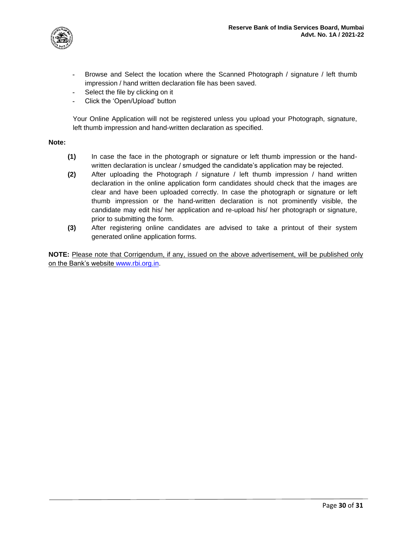

- **-** Browse and Select the location where the Scanned Photograph / signature / left thumb impression / hand written declaration file has been saved.
- **-** Select the file by clicking on it
- **-** Click the 'Open/Upload' button

Your Online Application will not be registered unless you upload your Photograph, signature, left thumb impression and hand-written declaration as specified.

#### **Note:**

- **(1)** In case the face in the photograph or signature or left thumb impression or the handwritten declaration is unclear / smudged the candidate's application may be rejected.
- **(2)** After uploading the Photograph / signature / left thumb impression / hand written declaration in the online application form candidates should check that the images are clear and have been uploaded correctly. In case the photograph or signature or left thumb impression or the hand-written declaration is not prominently visible, the candidate may edit his/ her application and re-upload his/ her photograph or signature, prior to submitting the form.
- **(3)** After registering online candidates are advised to take a printout of their system generated online application forms.

**NOTE:** Please note that Corrigendum, if any, issued on the above advertisement, will be published only on the Bank's website [www.rbi.org.in.](https://www.rbi.org.in/)